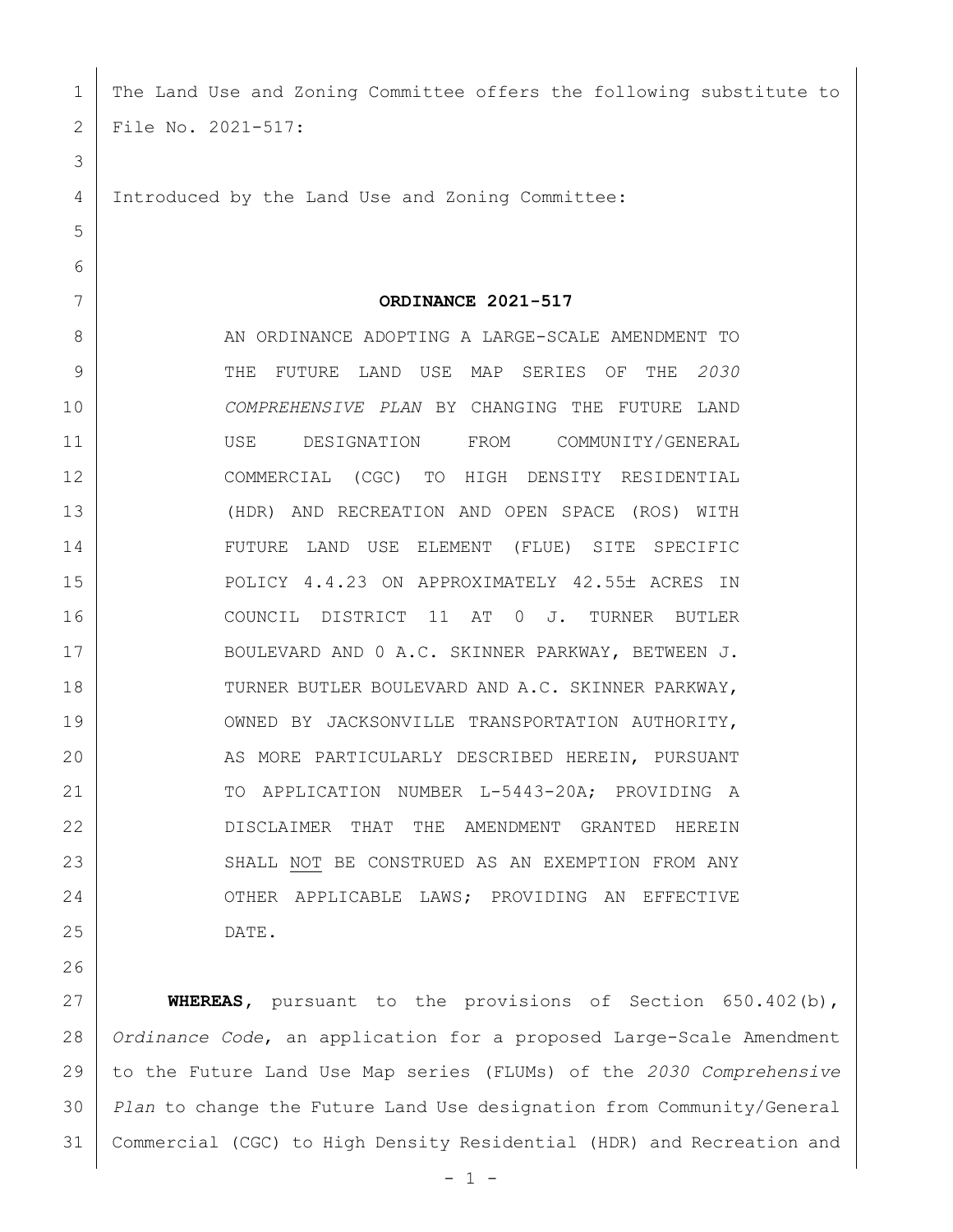| 1  | The Land Use and Zoning Committee offers the following substitute to |
|----|----------------------------------------------------------------------|
| 2  | File No. 2021-517:                                                   |
| 3  |                                                                      |
| 4  | Introduced by the Land Use and Zoning Committee:                     |
| 5  |                                                                      |
| 6  |                                                                      |
| 7  | ORDINANCE 2021-517                                                   |
| 8  | AN ORDINANCE ADOPTING A LARGE-SCALE AMENDMENT TO                     |
| 9  | FUTURE LAND USE MAP<br>SERIES OF<br><b>THE</b><br>2030<br>THE        |
| 10 | COMPREHENSIVE PLAN BY CHANGING THE FUTURE<br>LAND                    |
| 11 | FROM COMMUNITY/GENERAL<br>USE<br>DESIGNATION                         |
| 12 | TO<br>HIGH<br>COMMERCIAL<br>(CGC)<br>DENSITY RESIDENTIAL             |
| 13 | (HDR) AND RECREATION AND OPEN SPACE (ROS) WITH                       |
| 14 | FUTURE LAND USE ELEMENT (FLUE) SITE SPECIFIC                         |
| 15 | POLICY 4.4.23 ON APPROXIMATELY 42.55± ACRES<br>IN                    |
| 16 | COUNCIL DISTRICT 11 AT<br>$0$ J.<br>TURNER<br>BUTLER                 |
| 17 | BOULEVARD AND 0 A.C. SKINNER PARKWAY, BETWEEN J.                     |
| 18 | TURNER BUTLER BOULEVARD AND A.C. SKINNER PARKWAY,                    |
| 19 | OWNED BY JACKSONVILLE TRANSPORTATION AUTHORITY,                      |
| 20 | AS MORE PARTICULARLY DESCRIBED HEREIN, PURSUANT                      |
| 21 | TO APPLICATION NUMBER L-5443-20A; PROVIDING A                        |
| 22 | DISCLAIMER THAT THE AMENDMENT GRANTED HEREIN                         |
| 23 | SHALL NOT BE CONSTRUED AS AN EXEMPTION FROM ANY                      |
| 24 | OTHER APPLICABLE LAWS; PROVIDING AN EFFECTIVE                        |
| 25 | DATE.                                                                |
| 26 |                                                                      |
| 27 | <b>WHEREAS</b> , pursuant to the provisions of Section 650.402(b),   |
| 28 | Ordinance Code, an application for a proposed Large-Scale Amendment  |
| 29 | to the Future Land Use Map series (FLUMs) of the 2030 Comprehensive  |

 *Plan* to change the Future Land Use designation from Community/General Commercial (CGC) to High Density Residential (HDR) and Recreation and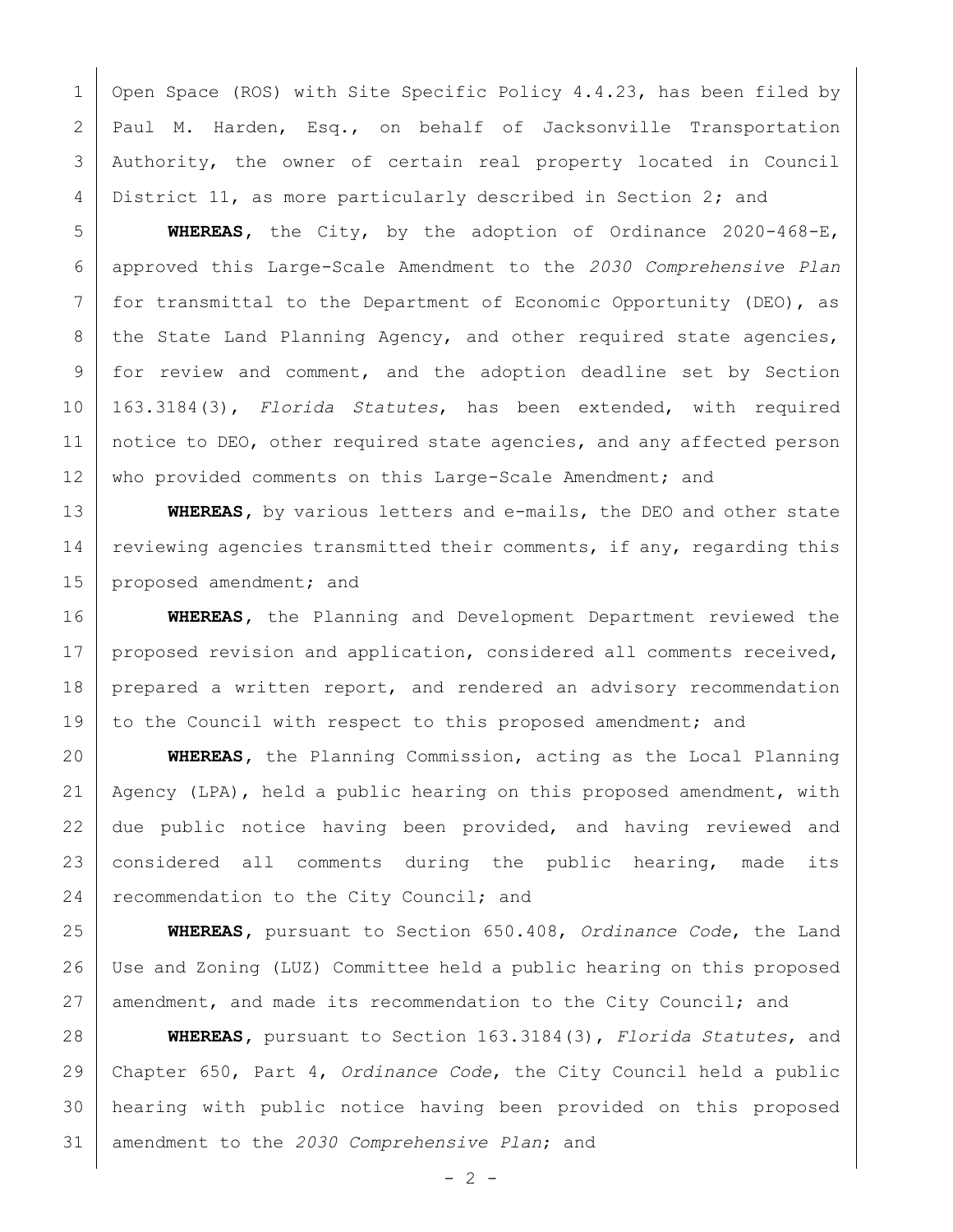1 | Open Space (ROS) with Site Specific Policy 4.4.23, has been filed by Paul M. Harden, Esq., on behalf of Jacksonville Transportation Authority, the owner of certain real property located in Council 4 District 11, as more particularly described in Section 2; and

 **WHEREAS,** the City, by the adoption of Ordinance 2020-468-E, approved this Large-Scale Amendment to the *2030 Comprehensive Plan* for transmittal to the Department of Economic Opportunity (DEO), as 8 the State Land Planning Agency, and other required state agencies, for review and comment, and the adoption deadline set by Section 163.3184(3), *Florida Statutes*, has been extended, with required notice to DEO, other required state agencies, and any affected person 12 | who provided comments on this Large-Scale Amendment; and

**WHEREAS,** by various letters and e-mails, the DEO and other state 14 reviewing agencies transmitted their comments, if any, regarding this 15 proposed amendment; and

 **WHEREAS,** the Planning and Development Department reviewed the 17 | proposed revision and application, considered all comments received, 18 prepared a written report, and rendered an advisory recommendation 19 to the Council with respect to this proposed amendment; and

 **WHEREAS,** the Planning Commission, acting as the Local Planning Agency (LPA), held a public hearing on this proposed amendment, with 22 due public notice having been provided, and having reviewed and considered all comments during the public hearing, made its 24 recommendation to the City Council; and

 **WHEREAS,** pursuant to Section 650.408, *Ordinance Code*, the Land Use and Zoning (LUZ) Committee held a public hearing on this proposed amendment, and made its recommendation to the City Council; and

 **WHEREAS,** pursuant to Section 163.3184(3), *Florida Statutes*, and Chapter 650, Part 4, *Ordinance Code*, the City Council held a public hearing with public notice having been provided on this proposed amendment to the *2030 Comprehensive Plan*; and

 $- 2 -$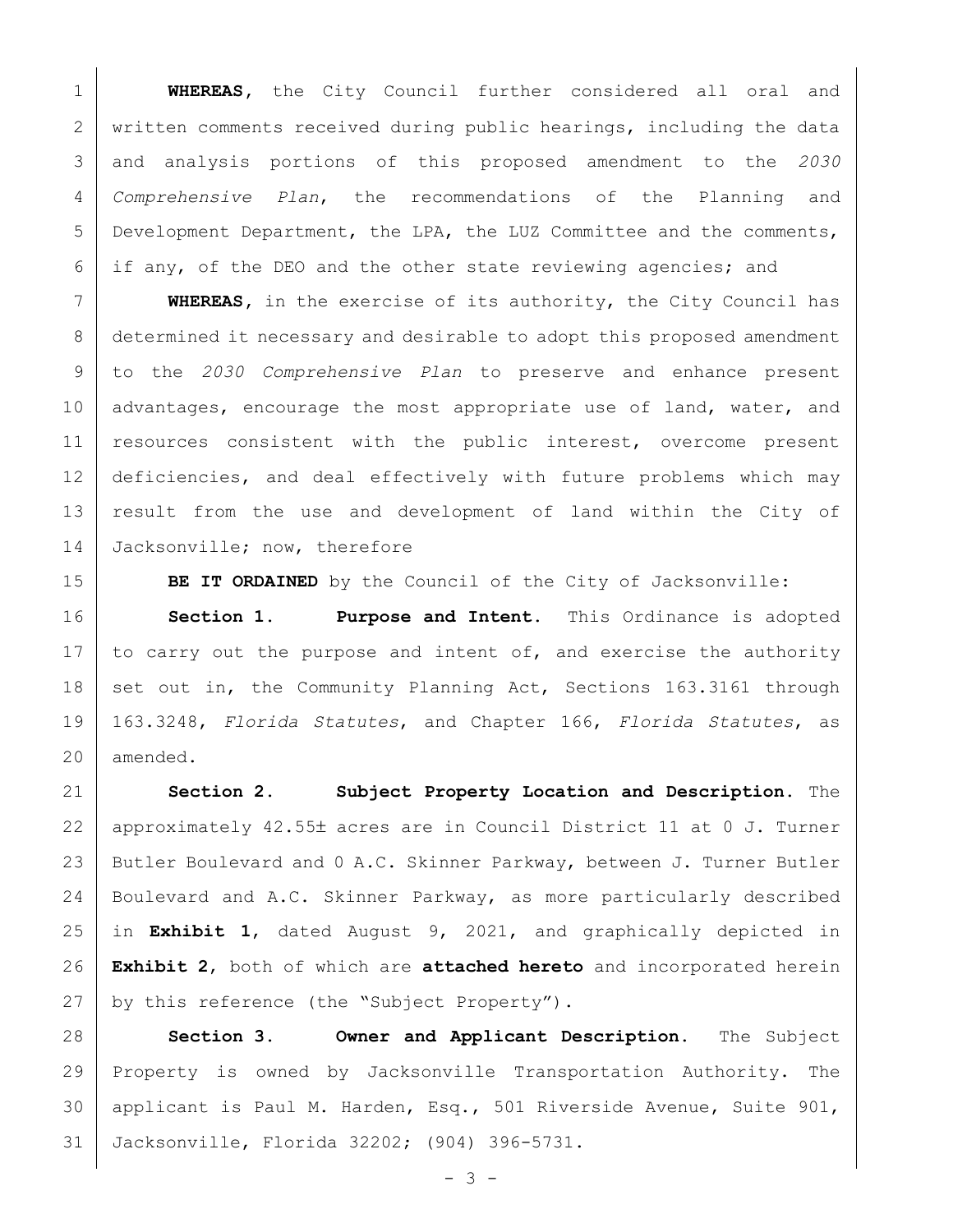**WHEREAS,** the City Council further considered all oral and 2 | written comments received during public hearings, including the data and analysis portions of this proposed amendment to the *2030 Comprehensive Plan*, the recommendations of the Planning and Development Department, the LPA, the LUZ Committee and the comments, if any, of the DEO and the other state reviewing agencies; and

 **WHEREAS,** in the exercise of its authority, the City Council has determined it necessary and desirable to adopt this proposed amendment to the *2030 Comprehensive Plan* to preserve and enhance present 10 | advantages, encourage the most appropriate use of land, water, and resources consistent with the public interest, overcome present deficiencies, and deal effectively with future problems which may result from the use and development of land within the City of 14 Jacksonville; now, therefore

**BE IT ORDAINED** by the Council of the City of Jacksonville:

 **Section 1. Purpose and Intent.** This Ordinance is adopted 17 to carry out the purpose and intent of, and exercise the authority 18 set out in, the Community Planning Act, Sections 163.3161 through 163.3248, *Florida Statutes*, and Chapter 166, *Florida Statutes*, as amended.

 **Section 2. Subject Property Location and Description.** The 22 | approximately 42.55± acres are in Council District 11 at 0 J. Turner Butler Boulevard and 0 A.C. Skinner Parkway, between J. Turner Butler Boulevard and A.C. Skinner Parkway, as more particularly described in **Exhibit 1**, dated August 9, 2021, and graphically depicted in **Exhibit 2**, both of which are **attached hereto** and incorporated herein 27 by this reference (the "Subject Property").

 **Section 3. Owner and Applicant Description.** The Subject Property is owned by Jacksonville Transportation Authority. The applicant is Paul M. Harden, Esq., 501 Riverside Avenue, Suite 901, Jacksonville, Florida 32202; (904) 396-5731.

 $- 3 -$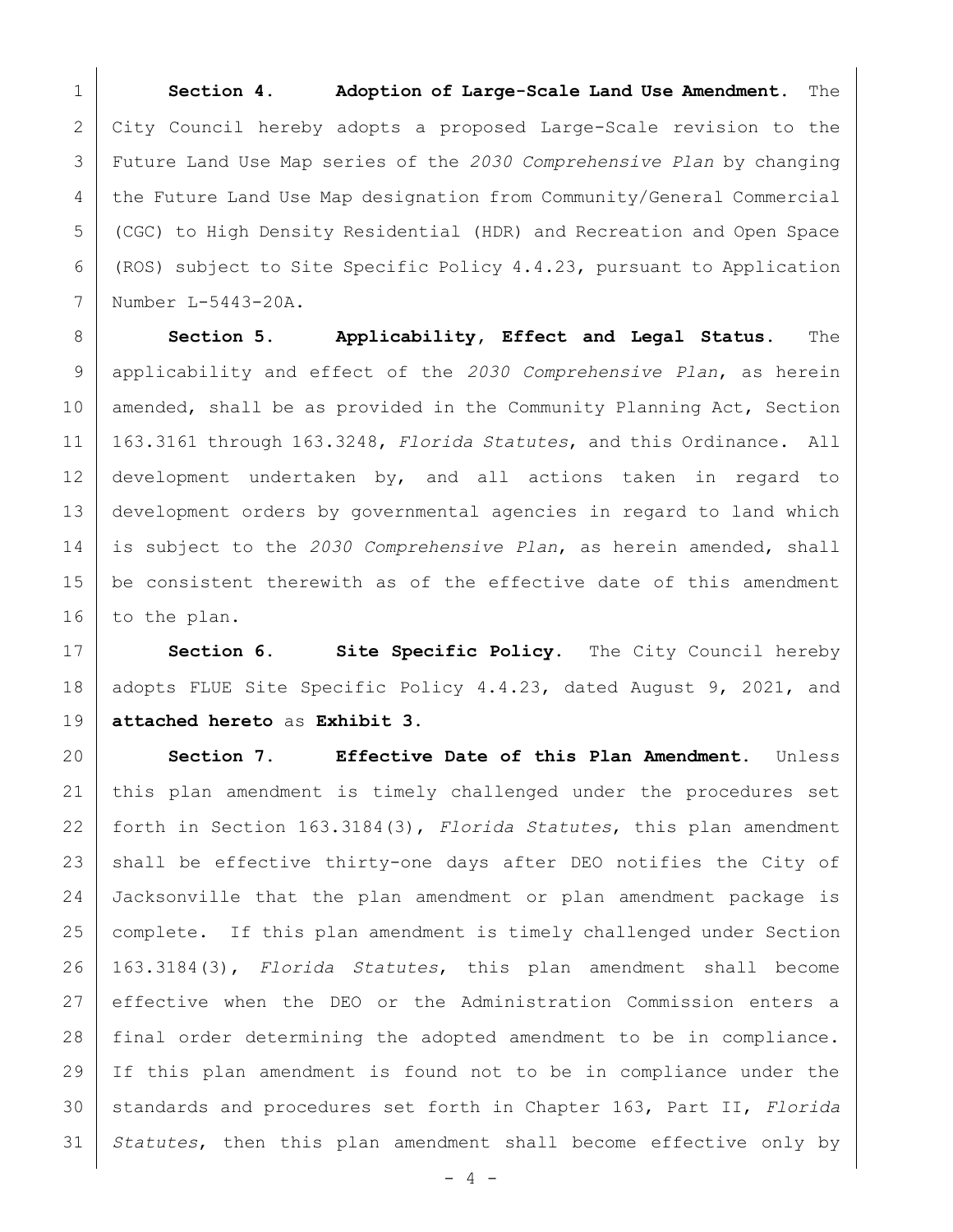**Section 4. Adoption of Large-Scale Land Use Amendment.** The City Council hereby adopts a proposed Large-Scale revision to the Future Land Use Map series of the *2030 Comprehensive Plan* by changing the Future Land Use Map designation from Community/General Commercial (CGC) to High Density Residential (HDR) and Recreation and Open Space (ROS) subject to Site Specific Policy 4.4.23, pursuant to Application Number L-5443-20A.

 **Section 5. Applicability, Effect and Legal Status.** The applicability and effect of the *2030 Comprehensive Plan*, as herein 10 | amended, shall be as provided in the Community Planning Act, Section 163.3161 through 163.3248, *Florida Statutes*, and this Ordinance. All development undertaken by, and all actions taken in regard to development orders by governmental agencies in regard to land which is subject to the *2030 Comprehensive Plan*, as herein amended, shall be consistent therewith as of the effective date of this amendment 16 to the plan.

17 | Section 6. Site Specific Policy. The City Council hereby 18 adopts FLUE Site Specific Policy 4.4.23, dated August 9, 2021, and **attached hereto** as **Exhibit 3**.

 **Section 7. Effective Date of this Plan Amendment.** Unless this plan amendment is timely challenged under the procedures set forth in Section 163.3184(3), *Florida Statutes*, this plan amendment shall be effective thirty-one days after DEO notifies the City of Jacksonville that the plan amendment or plan amendment package is complete. If this plan amendment is timely challenged under Section 163.3184(3), *Florida Statutes*, this plan amendment shall become effective when the DEO or the Administration Commission enters a final order determining the adopted amendment to be in compliance. If this plan amendment is found not to be in compliance under the standards and procedures set forth in Chapter 163, Part II, *Florida Statutes*, then this plan amendment shall become effective only by

 $-4 -$